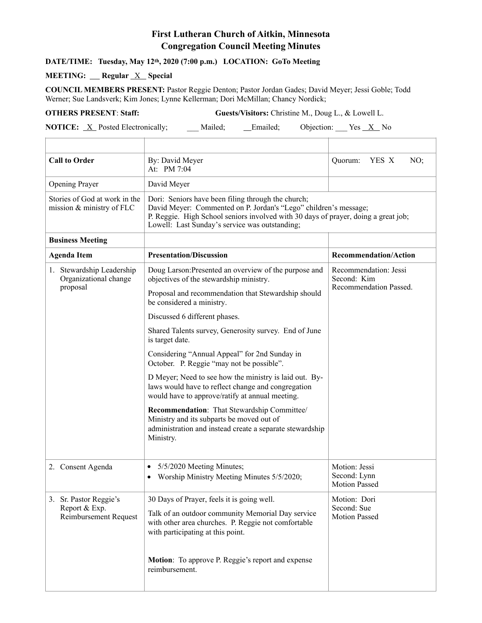## **First Lutheran Church of Aitkin, Minnesota Congregation Council Meeting Minutes**

## **DATE/TIME: Tuesday, May 12th, 2020 (7:00 p.m.) LOCATION: GoTo Meeting**

## **MEETING:** Regular <u>X</u> Special

 $\overline{\Gamma}$ 

**COUNCIL MEMBERS PRESENT:** Pastor Reggie Denton; Pastor Jordan Gades; David Meyer; Jessi Goble; Todd Werner; Sue Landsverk; Kim Jones; Lynne Kellerman; Dori McMillan; Chancy Nordick;

**OTHERS PRESENT**: **Staff: Guests/Visitors:** Christine M., Doug L., & Lowell L.

**NOTICE:** <u>X</u> Posted Electronically; \_\_\_ Mailed; \_\_\_ Emailed; Objection: \_\_\_ Yes <u>X</u> No T

| <b>Call to Order</b>                                                    | By: David Meyer<br>At: PM 7:04                                                                                                                                                                                                                                 | Quorum:<br>YES X<br>NO;                                        |
|-------------------------------------------------------------------------|----------------------------------------------------------------------------------------------------------------------------------------------------------------------------------------------------------------------------------------------------------------|----------------------------------------------------------------|
| Opening Prayer                                                          | David Meyer                                                                                                                                                                                                                                                    |                                                                |
| Stories of God at work in the<br>mission & ministry of FLC              | Dori: Seniors have been filing through the church;<br>David Meyer: Commented on P. Jordan's "Lego" children's message;<br>P. Reggie. High School seniors involved with 30 days of prayer, doing a great job;<br>Lowell: Last Sunday's service was outstanding; |                                                                |
| <b>Business Meeting</b>                                                 |                                                                                                                                                                                                                                                                |                                                                |
| <b>Agenda Item</b>                                                      | <b>Presentation/Discussion</b>                                                                                                                                                                                                                                 | <b>Recommendation/Action</b>                                   |
| 1. Stewardship Leadership<br>Organizational change<br>proposal          | Doug Larson: Presented an overview of the purpose and<br>objectives of the stewardship ministry.                                                                                                                                                               | Recommendation: Jessi<br>Second: Kim<br>Recommendation Passed. |
|                                                                         | Proposal and recommendation that Stewardship should<br>be considered a ministry.                                                                                                                                                                               |                                                                |
|                                                                         | Discussed 6 different phases.                                                                                                                                                                                                                                  |                                                                |
|                                                                         | Shared Talents survey, Generosity survey. End of June<br>is target date.                                                                                                                                                                                       |                                                                |
|                                                                         | Considering "Annual Appeal" for 2nd Sunday in<br>October. P. Reggie "may not be possible".                                                                                                                                                                     |                                                                |
|                                                                         | D Meyer; Need to see how the ministry is laid out. By-<br>laws would have to reflect change and congregation<br>would have to approve/ratify at annual meeting.                                                                                                |                                                                |
|                                                                         | Recommendation: That Stewardship Committee/<br>Ministry and its subparts be moved out of<br>administration and instead create a separate stewardship<br>Ministry.                                                                                              |                                                                |
| 2. Consent Agenda                                                       | 5/5/2020 Meeting Minutes;<br>$\bullet$<br>• Worship Ministry Meeting Minutes 5/5/2020;                                                                                                                                                                         | Motion: Jessi<br>Second: Lynn<br><b>Motion Passed</b>          |
| 3. Sr. Pastor Reggie's<br>Report & Exp.<br><b>Reimbursement Request</b> | 30 Days of Prayer, feels it is going well.                                                                                                                                                                                                                     | Motion: Dori<br>Second: Sue<br><b>Motion Passed</b>            |
|                                                                         | Talk of an outdoor community Memorial Day service<br>with other area churches. P. Reggie not comfortable<br>with participating at this point.                                                                                                                  |                                                                |
|                                                                         | <b>Motion:</b> To approve P. Reggie's report and expense<br>reimbursement.                                                                                                                                                                                     |                                                                |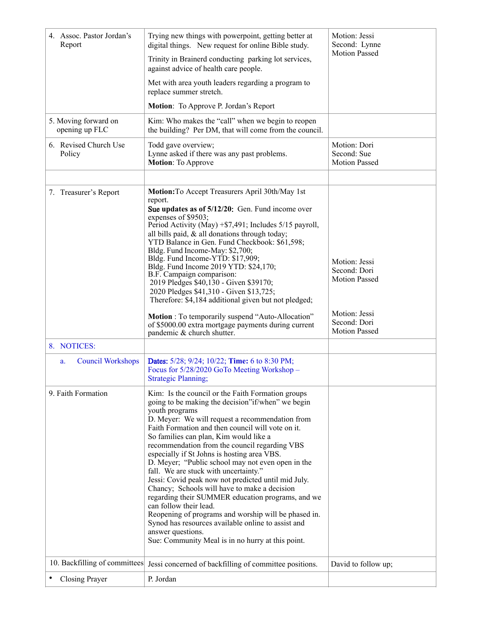| 4. Assoc. Pastor Jordan's<br>Report    | Trying new things with powerpoint, getting better at<br>digital things. New request for online Bible study.                                                                                                                                                                                                                                                                                                                                                                                                                                                                                                                                                                                                                                                                                                                                            | Motion: Jessi<br>Second: Lynne                                                         |
|----------------------------------------|--------------------------------------------------------------------------------------------------------------------------------------------------------------------------------------------------------------------------------------------------------------------------------------------------------------------------------------------------------------------------------------------------------------------------------------------------------------------------------------------------------------------------------------------------------------------------------------------------------------------------------------------------------------------------------------------------------------------------------------------------------------------------------------------------------------------------------------------------------|----------------------------------------------------------------------------------------|
|                                        | Trinity in Brainerd conducting parking lot services,<br>against advice of health care people.                                                                                                                                                                                                                                                                                                                                                                                                                                                                                                                                                                                                                                                                                                                                                          | <b>Motion Passed</b>                                                                   |
|                                        | Met with area youth leaders regarding a program to<br>replace summer stretch.                                                                                                                                                                                                                                                                                                                                                                                                                                                                                                                                                                                                                                                                                                                                                                          |                                                                                        |
|                                        | Motion: To Approve P. Jordan's Report                                                                                                                                                                                                                                                                                                                                                                                                                                                                                                                                                                                                                                                                                                                                                                                                                  |                                                                                        |
| 5. Moving forward on<br>opening up FLC | Kim: Who makes the "call" when we begin to reopen<br>the building? Per DM, that will come from the council.                                                                                                                                                                                                                                                                                                                                                                                                                                                                                                                                                                                                                                                                                                                                            |                                                                                        |
| 6. Revised Church Use<br>Policy        | Todd gave overview;<br>Lynne asked if there was any past problems.<br><b>Motion:</b> To Approve                                                                                                                                                                                                                                                                                                                                                                                                                                                                                                                                                                                                                                                                                                                                                        | Motion: Dori<br>Second: Sue<br><b>Motion Passed</b>                                    |
| 7. Treasurer's Report                  | Motion: To Accept Treasurers April 30th/May 1st<br>report.<br>Sue updates as of 5/12/20: Gen. Fund income over<br>expenses of \$9503;<br>Period Activity (May) +\$7,491; Includes 5/15 payroll,<br>all bills paid, & all donations through today;<br>YTD Balance in Gen. Fund Checkbook: \$61,598;<br>Bldg. Fund Income-May: \$2,700;<br>Bldg. Fund Income-YTD: \$17,909;<br>Bldg. Fund Income 2019 YTD: \$24,170;<br>B.F. Campaign comparison:<br>2019 Pledges \$40,130 - Given \$39170;<br>2020 Pledges \$41,310 - Given \$13,725;<br>Therefore: \$4,184 additional given but not pledged;<br>Motion : To temporarily suspend "Auto-Allocation"<br>of \$5000.00 extra mortgage payments during current                                                                                                                                               | Motion: Jessi<br>Second: Dori<br><b>Motion Passed</b><br>Motion: Jessi<br>Second: Dori |
|                                        | pandemic & church shutter.                                                                                                                                                                                                                                                                                                                                                                                                                                                                                                                                                                                                                                                                                                                                                                                                                             | <b>Motion Passed</b>                                                                   |
| 8. NOTICES:                            |                                                                                                                                                                                                                                                                                                                                                                                                                                                                                                                                                                                                                                                                                                                                                                                                                                                        |                                                                                        |
| <b>Council Workshops</b><br>a.         | <b>Dates:</b> 5/28; 9/24; 10/22; <b>Time:</b> 6 to 8:30 PM;<br>Focus for 5/28/2020 GoTo Meeting Workshop -<br><b>Strategic Planning:</b>                                                                                                                                                                                                                                                                                                                                                                                                                                                                                                                                                                                                                                                                                                               |                                                                                        |
| 9. Faith Formation                     | Kim: Is the council or the Faith Formation groups<br>going to be making the decision"if/when" we begin<br>youth programs<br>D. Meyer: We will request a recommendation from<br>Faith Formation and then council will vote on it.<br>So families can plan, Kim would like a<br>recommendation from the council regarding VBS<br>especially if St Johns is hosting area VBS.<br>D. Meyer; "Public school may not even open in the<br>fall. We are stuck with uncertainty."<br>Jessi: Covid peak now not predicted until mid July.<br>Chancy; Schools will have to make a decision<br>regarding their SUMMER education programs, and we<br>can follow their lead.<br>Reopening of programs and worship will be phased in.<br>Synod has resources available online to assist and<br>answer questions.<br>Sue: Community Meal is in no hurry at this point. |                                                                                        |
| 10. Backfilling of committees          | Jessi concerned of backfilling of committee positions.                                                                                                                                                                                                                                                                                                                                                                                                                                                                                                                                                                                                                                                                                                                                                                                                 | David to follow up;                                                                    |
| Closing Prayer                         | P. Jordan                                                                                                                                                                                                                                                                                                                                                                                                                                                                                                                                                                                                                                                                                                                                                                                                                                              |                                                                                        |